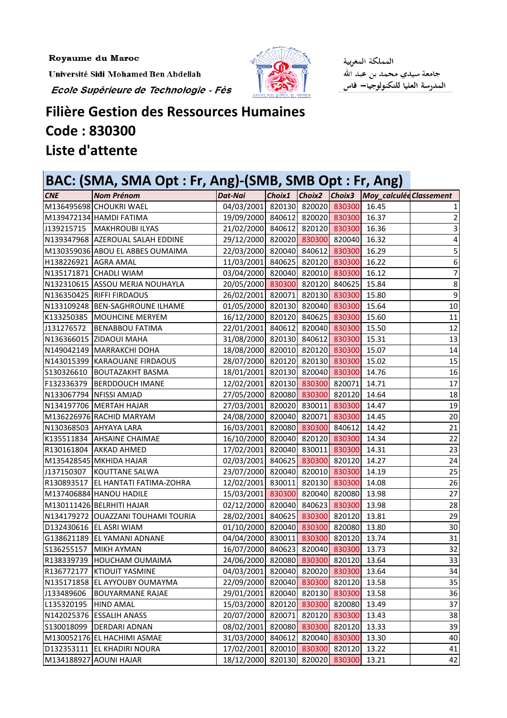Royaume du Maroc

Université Sidi Mohamed Ben Abdellah

Ecole Supérieure de Technologie - Fès



المملكة المغربية جامعة سيدي محمد بن عبد الله المدرسة العليا للتكنولوجيا— فاس

## **Filière Gestion des Ressources Humaines Code: 830300** Liste d'attente

| BAC: (SMA, SMA Opt : Fr, Ang)-(SMB, SMB Opt : Fr, Ang) |                                    |                                       |        |  |                      |                                       |    |  |
|--------------------------------------------------------|------------------------------------|---------------------------------------|--------|--|----------------------|---------------------------------------|----|--|
| <b>CNE</b>                                             | <b>Nom Prénom</b>                  | Dat-Nai                               | Choix1 |  |                      | Choix2 Choix3 Moy_calculée Classement |    |  |
|                                                        | M136495698 CHOUKRI WAEL            | 04/03/2001 820130 820020 830300       |        |  |                      | 16.45                                 |    |  |
|                                                        | M139472134 HAMDI FATIMA            | 19/09/2000 840612 820020 830300       |        |  |                      | 16.37                                 | 2  |  |
| J139215715                                             | MAKHROUBI ILYAS                    | 21/02/2000 840612 820120 830300       |        |  |                      | 16.36                                 | 3  |  |
|                                                        | N139347968 AZEROUAL SALAH EDDINE   | 29/12/2000 820020 830300 820040       |        |  |                      | 16.32                                 | 4  |  |
|                                                        | M130359036 ABOU EL ABBES OUMAIMA   | 22/03/2000 820040 840612 830300       |        |  |                      | 16.29                                 | 5  |  |
| H138226921 AGRA AMAL                                   |                                    | 11/03/2001 840625 820120 830300       |        |  |                      | 16.22                                 | 6  |  |
|                                                        | N135171871 CHADLI WIAM             | 03/04/2000 820040 820010 830300       |        |  |                      | 16.12                                 | 7  |  |
|                                                        | N132310615 ASSOU MERJA NOUHAYLA    | 20/05/2000 830300 820120 840625       |        |  |                      | 15.84                                 | 8  |  |
|                                                        | N136350425 RIFFI FIRDAOUS          | 26/02/2001                            |        |  | 820071 820130 830300 | 15.80                                 | 9  |  |
|                                                        | N133109248 BEN-SAGHROUNE ILHAME    | 01/05/2000 820130 820040 830300       |        |  |                      | 15.64                                 | 10 |  |
|                                                        | K133250385   MOUHCINE MERYEM       | 16/12/2000 820120 840625 830300       |        |  |                      | 15.60                                 | 11 |  |
| J131276572                                             | <b>BENABBOU FATIMA</b>             | 22/01/2001 840612 820040 830300       |        |  |                      | 15.50                                 | 12 |  |
|                                                        | N136366015 ZIDAOUI MAHA            | 31/08/2000 820130 840612 830300       |        |  |                      | 15.31                                 | 13 |  |
|                                                        | N149042149   MARRAKCHI DOHA        | 18/08/2000 820010 820120 830300       |        |  |                      | 15.07                                 | 14 |  |
|                                                        | N143015399 KARAOUANE FIRDAOUS      | 28/07/2000 820120 820130 830300       |        |  |                      | 15.02                                 | 15 |  |
| S130326610                                             | <b>BOUTAZAKHT BASMA</b>            | 18/01/2001 820130 820040 830300       |        |  |                      | 14.76                                 | 16 |  |
| F132336379                                             | <b>BERDDOUCH IMANE</b>             | 12/02/2001 820130 830300 820071       |        |  |                      | 14.71                                 | 17 |  |
|                                                        | N133067794 NFISSI AMJAD            | 27/05/2000 820080 830300 820120       |        |  |                      | 14.64                                 | 18 |  |
|                                                        | N134197706 MERTAH HAJAR            | 27/03/2001                            |        |  | 820020 830011 830300 | 14.47                                 | 19 |  |
|                                                        | M136226976 RACHID MARYAM           | 24/08/2000 820040 820071 830300       |        |  |                      | 14.45                                 | 20 |  |
|                                                        | N130368503 AHYAYA LARA             | 16/03/2001 820080 830300 840612       |        |  |                      | 14.42                                 | 21 |  |
|                                                        | K135511834 AHSAINE CHAIMAE         | 16/10/2000 820040 820120 830300       |        |  |                      | 14.34                                 | 22 |  |
| R130161804                                             | <b>AKKAD AHMED</b>                 | 17/02/2001 820040 830011 830300       |        |  |                      | 14.31                                 | 23 |  |
|                                                        | M135428545 MKHIDA HAJAR            | 02/03/2001                            |        |  | 840625 830300 820120 | 14.27                                 | 24 |  |
| J137150307                                             | KOUTTANE SALWA                     | 23/07/2000 820040 820010 830300       |        |  |                      | 14.19                                 | 25 |  |
| R130893517                                             | <b>EL HANTATI FATIMA-ZOHRA</b>     | 12/02/2001 830011 820130 830300       |        |  |                      | 14.08                                 | 26 |  |
|                                                        | M137406884 HANOU HADILE            | 15/03/2001 830300 820040 820080       |        |  |                      | 13.98                                 | 27 |  |
|                                                        | M130111426 BELRHITI HAJAR          | 02/12/2000 820040 840623 830300       |        |  |                      | 13.98                                 | 28 |  |
|                                                        | N134179272 OUAZZANI TOUHAMI TOURIA | 28/02/2001 840625 830300 820120 13.81 |        |  |                      |                                       | 29 |  |
|                                                        | D132430616 EL ASRI WIAM            | 01/10/2000 820040 830300 820080       |        |  |                      | 13.80                                 | 30 |  |
|                                                        | G138621189 EL YAMANI ADNANE        | 04/04/2000 830011 830300 820120       |        |  |                      | 13.74                                 | 31 |  |
| S136255157                                             | MIKH AYMAN                         | 16/07/2000 840623 820040 830300       |        |  |                      | 13.73                                 | 32 |  |
| R138339739                                             | <b>HOUCHAM OUMAIMA</b>             | 24/06/2000 820080 830300 820120       |        |  |                      | 13.64                                 | 33 |  |
| R136772177                                             | <b>KTIOUIT YASMINE</b>             | 04/03/2001 820040 820020 830300       |        |  |                      | 13.64                                 | 34 |  |
|                                                        | N135171858 EL AYYOUBY OUMAYMA      | 22/09/2000 820040 830300 820120       |        |  |                      | 13.58                                 | 35 |  |
| J133489606                                             | <b>BOUYARMANE RAJAE</b>            | 29/01/2001 820040 820130 830300       |        |  |                      | 13.58                                 | 36 |  |
| L135320195                                             | <b>HIND AMAL</b>                   | 15/03/2000 820120 830300              |        |  | 820080               | 13.49                                 | 37 |  |
|                                                        | N142025376 ESSALIH ANASS           | 20/07/2000 820071 820120 830300       |        |  |                      | 13.43                                 | 38 |  |
| S130018099                                             | <b>DERDARI ADNAN</b>               | 08/02/2001 820080 830300 820120       |        |  |                      | 13.33                                 | 39 |  |
|                                                        | M130052176 EL HACHIMI ASMAE        | 31/03/2000 840612 820040 830300       |        |  |                      | 13.30                                 | 40 |  |
|                                                        | D132353111 EL KHADIRI NOURA        | 17/02/2001 820010 830300              |        |  | 820120               | 13.22                                 | 41 |  |
|                                                        | M134188927 AOUNI HAJAR             | 18/12/2000 820130 820020 830300       |        |  |                      | 13.21                                 | 42 |  |